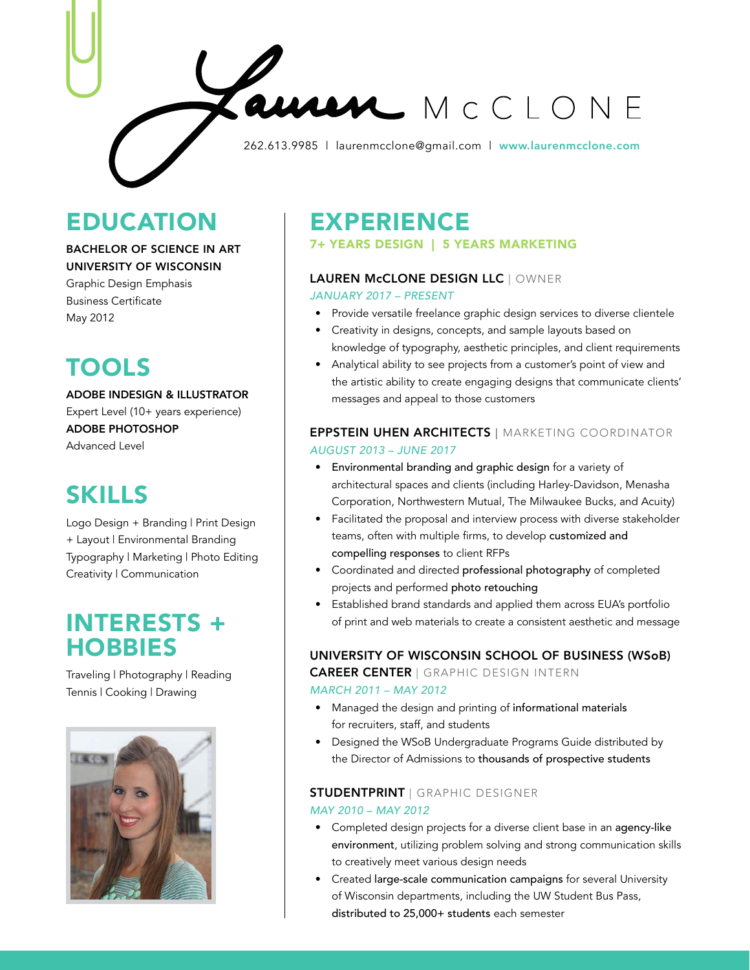262.613.9985 | laurenmcclone@gmail.com | [www.laurenmcclone.com](http://laurenmcclone.com)

## EDUCATION

### BACHELOR OF SCIENCE IN ART UNIVERSITY OF WISCONSIN

Graphic Design Emphasis Business Certificate May 2012

# TOOLS

ADOBE INDESIGN & ILLUSTRATOR Expert Level (10+ years experience) ADOBE PHOTOSHOP Advanced Level

## SKILLS

Logo Design + Branding | Print Design + Layout | Environmental Branding Typography | Marketing | Photo Editing Creativity | Communication

### INTERESTS + **HOBBIES**

Traveling | Photography | Reading Tennis | Cooking | Drawing



## EXPERIENCE

7+ YEARS DESIGN | 5 YEARS MARKETING

### LAUREN McCLONE DESIGN LLC | OWNER

*JANUARY 2017 – PRESENT*

• Provide versatile freelance graphic design services to diverse clientele

MCCLONE

- Creativity in designs, concepts, and sample layouts based on knowledge of typography, aesthetic principles, and client requirements
- Analytical ability to see projects from a customer's point of view and the artistic ability to create engaging designs that communicate clients' messages and appeal to those customers

### EPPSTEIN UHEN ARCHITECTS | MARKETING COORDINATOR *AUGUST 2013 – JUNE 2017*

- Environmental branding and graphic design for a variety of architectural spaces and clients (including Harley-Davidson, Menasha Corporation, Northwestern Mutual, The Milwaukee Bucks, and Acuity)
- Facilitated the proposal and interview process with diverse stakeholder teams, often with multiple firms, to develop customized and compelling responses to client RFPs
- Coordinated and directed professional photography of completed projects and performed photo retouching
- Established brand standards and applied them across EUA's portfolio of print and web materials to create a consistent aesthetic and message

### UNIVERSITY OF WISCONSIN SCHOOL OF BUSINESS (WSoB) CAREER CENTER | GRAPHIC DESIGN INTERN

### *MARCH 2011 – MAY 2012*

- Managed the design and printing of informational materials for recruiters, staff, and students
- Designed the WSoB Undergraduate Programs Guide distributed by the Director of Admissions to thousands of prospective students

### STUDENTPRINT | GRAPHIC DESIGNER

#### *MAY 2010 – MAY 2012*

- Completed design projects for a diverse client base in an agency-like environment, utilizing problem solving and strong communication skills to creatively meet various design needs
- Created large-scale communication campaigns for several University of Wisconsin departments, including the UW Student Bus Pass, distributed to 25,000+ students each semester